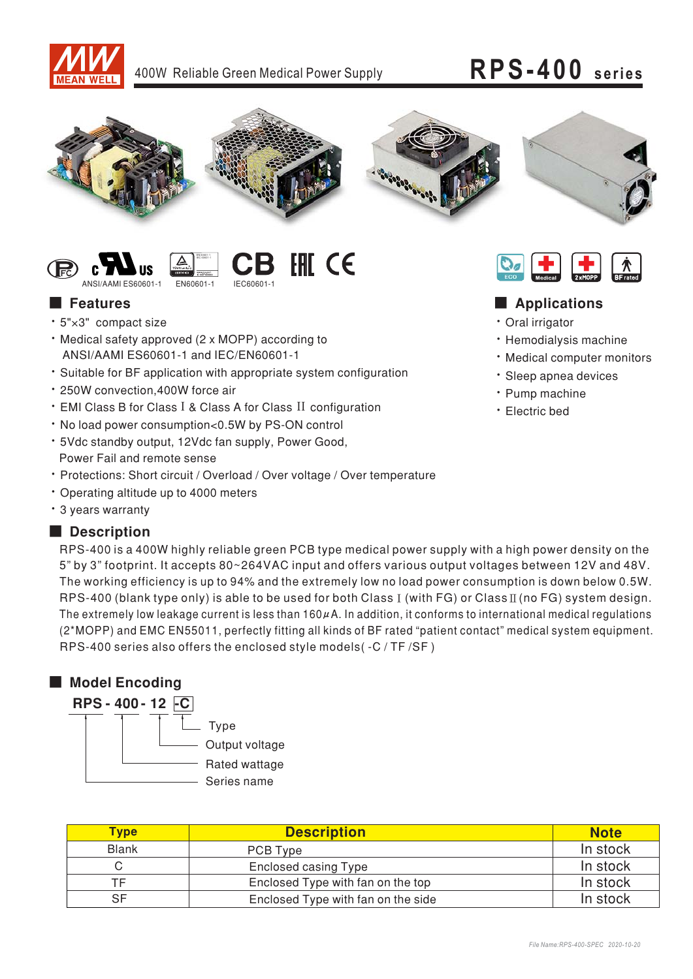

### 400W Reliable Green Medical Power Supply

## RPS-400 series



#### **EHI CE** ANSI/AAMLES60601-1 **EN60601-1** IEC60601-

### **E** Features

- \* 5"×3" compact size
- . Medical safety approved (2 x MOPP) according to ANSI/AAMI ES60601-1 and IEC/EN60601-1
- Suitable for BF application with appropriate system configuration
- · 250W convection 400W force air
- EMI Class B for Class I & Class A for Class II configuration
- . No load power consumption<0.5W by PS-ON control
- \* 5Vdc standby output, 12Vdc fan supply, Power Good, Power Fail and remote sense
- · Protections: Short circuit / Overload / Over voltage / Over temperature
- Operating altitude up to 4000 meters
- \* 3 years warranty

### Description

RPS-400 is a 400W highly reliable green PCB type medical power supply with a high power density on the 5" by 3" footprint. It accepts 80~264VAC input and offers various output voltages between 12V and 48V. The working efficiency is up to 94% and the extremely low no load power consumption is down below 0.5W. RPS-400 (blank type only) is able to be used for both Class I (with FG) or Class II (no FG) system design. The extremely low leakage current is less than 160 $\mu$ A. In addition, it conforms to international medical regulations (2\*MOPP) and EMC EN55011, perfectly fitting all kinds of BF rated "patient contact" medical system equipment. RPS-400 series also offers the enclosed style models(-C/TF/SF)

### Model Encoding



| <b>Type</b> | <b>Description</b>                 | <b>Note</b> |
|-------------|------------------------------------|-------------|
| Blank       | PCB Type                           | In stock    |
|             | Enclosed casing Type               | In stock    |
| TF          | Enclosed Type with fan on the top  | In stock    |
| SF          | Enclosed Type with fan on the side | In stock    |



### Applications

- · Oral irrigator
- · Hemodialysis machine
- Medical computer monitors
- · Sleep apnea devices
- · Pump machine
- · Electric bed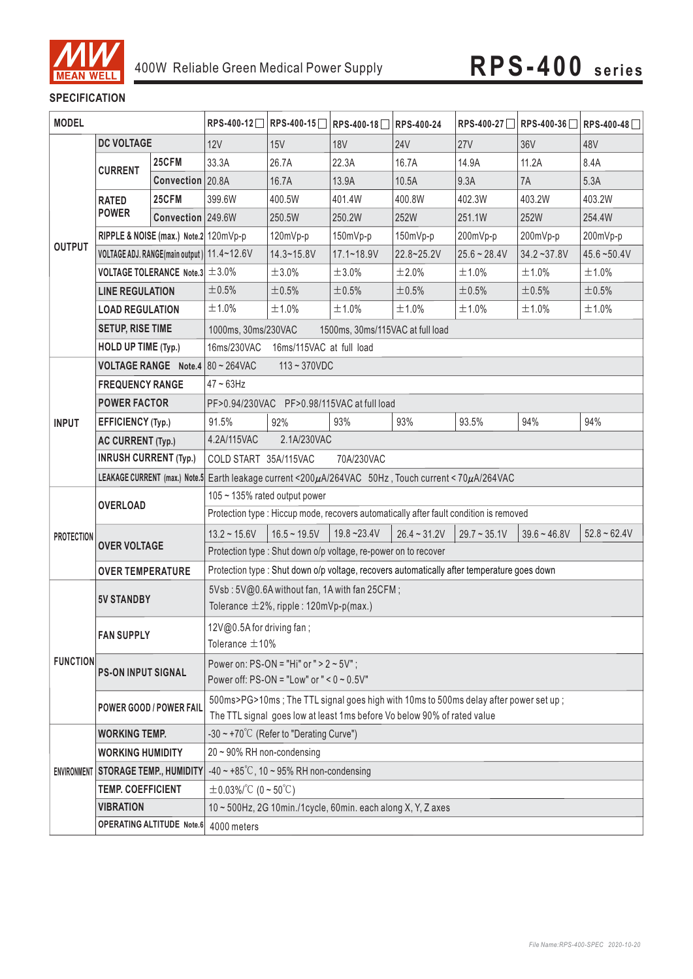

#### **SPECIFICATION**

| <b>MODEL</b>      |                                              |                   | RPS-400-12□ RPS-400-15□                                                                             | RPS-400-18 RPS-400-24                                      |                                  |                | RPS-400-27 RPS-400-36                                                                  | RPS-400-48     |                |
|-------------------|----------------------------------------------|-------------------|-----------------------------------------------------------------------------------------------------|------------------------------------------------------------|----------------------------------|----------------|----------------------------------------------------------------------------------------|----------------|----------------|
|                   | <b>DC VOLTAGE</b>                            |                   | 12V                                                                                                 | <b>15V</b>                                                 | <b>18V</b>                       | <b>24V</b>     | <b>27V</b>                                                                             | 36V            | 48V            |
|                   |                                              | 25CFM             | 33.3A                                                                                               | 26.7A                                                      | 22.3A                            | 16.7A          | 14.9A                                                                                  | 11.2A          | 8.4A           |
|                   | <b>CURRENT</b>                               | Convection 20.8A  |                                                                                                     | 16.7A                                                      | 13.9A                            | 10.5A          | 9.3A                                                                                   | 7A             | 5.3A           |
|                   | <b>RATED</b>                                 | 25CFM             | 399.6W                                                                                              | 400.5W                                                     | 401.4W                           | 400.8W         | 402.3W                                                                                 | 403.2W         | 403.2W         |
|                   | <b>POWER</b>                                 | Convection 249.6W |                                                                                                     | 250.5W                                                     | 250.2W                           | 252W           | 251.1W                                                                                 | 252W           | 254.4W         |
|                   | RIPPLE & NOISE (max.) Note.2 120mVp-p        |                   |                                                                                                     | 120mVp-p                                                   | 150mVp-p                         | 150mVp-p       | 200mVp-p                                                                               | 200mVp-p       | 200mVp-p       |
| <b>OUTPUT</b>     | VOLTAGE ADJ. RANGE(main output) 11.4~12.6V   |                   |                                                                                                     | $14.3 - 15.8V$                                             | $17.1 - 18.9V$                   | 22.8~25.2V     | $25.6 - 28.4V$                                                                         | $34.2 - 37.8V$ | $45.6 - 50.4V$ |
|                   | VOLTAGE TOLERANCE Note.3 $\pm$ 3.0%          |                   |                                                                                                     | ±3.0%                                                      | ±3.0%                            | ±2.0%          | ±1.0%                                                                                  | ±1.0%          | ±1.0%          |
|                   | <b>LINE REGULATION</b>                       |                   | ±0.5%                                                                                               | ±0.5%                                                      | ±0.5%                            | ±0.5%          | $\pm 0.5\%$                                                                            | ±0.5%          | $\pm 0.5\%$    |
|                   | <b>LOAD REGULATION</b>                       |                   | ±1.0%                                                                                               | ±1.0%                                                      | ±1.0%                            | ±1.0%          | ±1.0%                                                                                  | ±1.0%          | $±1.0\%$       |
|                   | <b>SETUP, RISE TIME</b>                      |                   | 1000ms, 30ms/230VAC                                                                                 |                                                            | 1500ms, 30ms/115VAC at full load |                |                                                                                        |                |                |
|                   | <b>HOLD UP TIME (Typ.)</b>                   |                   | 16ms/230VAC                                                                                         | 16ms/115VAC at full load                                   |                                  |                |                                                                                        |                |                |
|                   |                                              |                   | <b>VOLTAGE RANGE</b> Note.4 80 ~ 264 VAC                                                            | $113 - 370$ VDC                                            |                                  |                |                                                                                        |                |                |
|                   | <b>FREQUENCY RANGE</b>                       |                   | $47 \sim 63$ Hz                                                                                     |                                                            |                                  |                |                                                                                        |                |                |
|                   | <b>POWER FACTOR</b>                          |                   |                                                                                                     | PF>0.94/230VAC PF>0.98/115VAC at full load                 |                                  |                |                                                                                        |                |                |
| <b>INPUT</b>      | <b>EFFICIENCY (Typ.)</b>                     |                   | 91.5%                                                                                               | 92%                                                        | 93%                              | 93%            | 93.5%                                                                                  | 94%            | 94%            |
|                   | <b>AC CURRENT (Typ.)</b>                     |                   | 4.2A/115VAC<br>2.1A/230VAC                                                                          |                                                            |                                  |                |                                                                                        |                |                |
|                   | <b>INRUSH CURRENT (Typ.)</b>                 |                   | COLD START 35A/115VAC<br>70A/230VAC                                                                 |                                                            |                                  |                |                                                                                        |                |                |
|                   |                                              |                   | LEAKAGE CURRENT (max.) Note.5 Earth leakage current <200µA/264VAC 50Hz, Touch current < 70µA/264VAC |                                                            |                                  |                |                                                                                        |                |                |
|                   | <b>OVERLOAD</b>                              |                   | 105 ~ 135% rated output power                                                                       |                                                            |                                  |                |                                                                                        |                |                |
|                   |                                              |                   |                                                                                                     |                                                            |                                  |                | Protection type : Hiccup mode, recovers automatically after fault condition is removed |                |                |
| <b>PROTECTION</b> |                                              |                   | $13.2 \approx 15.6V$                                                                                | $16.5 - 19.5V$                                             | $19.8 - 23.4V$                   | $26.4 - 31.2V$ | $29.7 - 35.1V$                                                                         | $39.6 - 46.8V$ | $52.8 - 62.4V$ |
|                   | <b>OVER VOLTAGE</b>                          |                   | Protection type : Shut down o/p voltage, re-power on to recover                                     |                                                            |                                  |                |                                                                                        |                |                |
|                   | <b>OVER TEMPERATURE</b>                      |                   | Protection type : Shut down o/p voltage, recovers automatically after temperature goes down         |                                                            |                                  |                |                                                                                        |                |                |
|                   | <b>5V STANDBY</b>                            |                   | 5Vsb: 5V@0.6A without fan, 1A with fan 25CFM;                                                       |                                                            |                                  |                |                                                                                        |                |                |
|                   |                                              |                   | Tolerance $\pm 2\%$ , ripple : 120mVp-p(max.)                                                       |                                                            |                                  |                |                                                                                        |                |                |
|                   | FAN SUPPLY                                   |                   | 12V@0.5A for driving fan;                                                                           |                                                            |                                  |                |                                                                                        |                |                |
|                   |                                              |                   | Tolerance $\pm$ 10%                                                                                 |                                                            |                                  |                |                                                                                        |                |                |
| <b>FUNCTION</b>   | <b>PS-ON INPUT SIGNAL</b>                    |                   |                                                                                                     | Power on: PS-ON = "Hi" or " > $2 \sim 5V$ ";               |                                  |                |                                                                                        |                |                |
|                   |                                              |                   | Power off: PS-ON = "Low" or " < $0 \sim 0.5V$ "                                                     |                                                            |                                  |                |                                                                                        |                |                |
|                   | <b>POWER GOOD / POWER FAIL</b>               |                   | 500ms>PG>10ms; The TTL signal goes high with 10ms to 500ms delay after power set up;                |                                                            |                                  |                |                                                                                        |                |                |
|                   |                                              |                   | The TTL signal goes low at least 1ms before Vo below 90% of rated value                             |                                                            |                                  |                |                                                                                        |                |                |
|                   | <b>WORKING TEMP.</b>                         |                   |                                                                                                     | $-30 \sim +70^{\circ}$ (Refer to "Derating Curve")         |                                  |                |                                                                                        |                |                |
|                   | <b>WORKING HUMIDITY</b>                      |                   | 20 ~ 90% RH non-condensing                                                                          |                                                            |                                  |                |                                                                                        |                |                |
|                   | <b>ENVIRONMENT STORAGE TEMP., HUMIDITY</b>   |                   |                                                                                                     | $-40 \sim +85^{\circ}$ C, 10 ~ 95% RH non-condensing       |                                  |                |                                                                                        |                |                |
|                   | <b>TEMP, COEFFICIENT</b><br><b>VIBRATION</b> |                   | $\pm$ 0.03%/°C (0 ~ 50°C)                                                                           |                                                            |                                  |                |                                                                                        |                |                |
|                   |                                              |                   |                                                                                                     | 10~500Hz, 2G 10min./1cycle, 60min. each along X, Y, Z axes |                                  |                |                                                                                        |                |                |
|                   |                                              |                   | OPERATING ALTITUDE Note.6 4000 meters                                                               |                                                            |                                  |                |                                                                                        |                |                |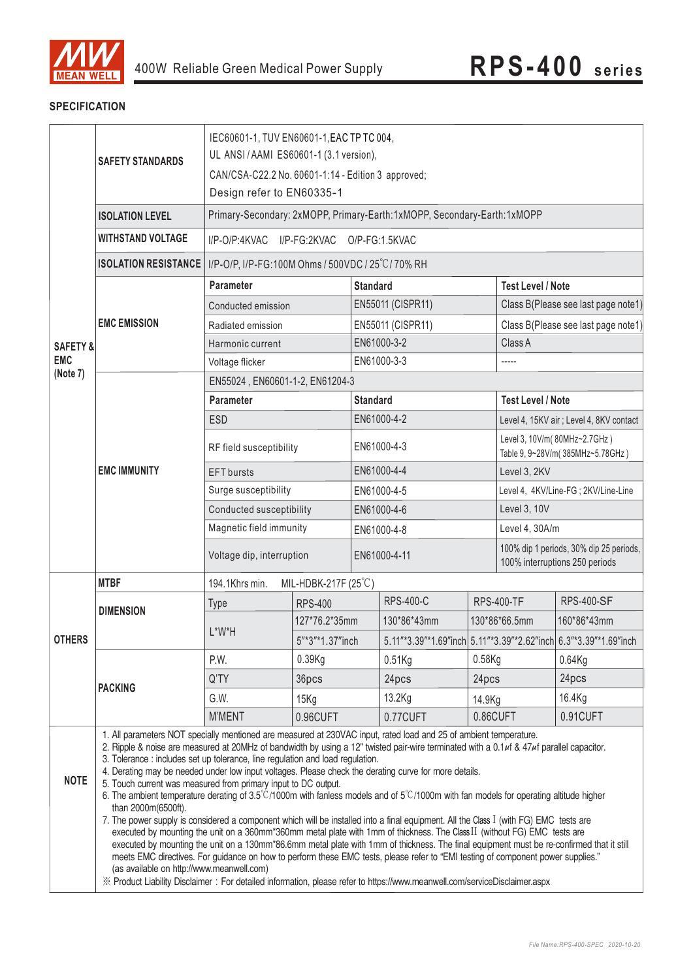

#### **SPECIFICATION**

|               | <b>SAFETY STANDARDS</b>     | IEC60601-1, TUV EN60601-1, EAC TP TC 004,<br>UL ANSI/AAMI ES60601-1 (3.1 version),<br>CAN/CSA-C22.2 No. 60601-1:14 - Edition 3 approved;                                                                                                                                                                                                                                                                                                                                                                                                                                                                                                                                                                                                                                                                                                                                                                                                                                                                                                                                                                                                                                                                                                                                          |                                                                                                                           |                 |                                                                         |                                                                           |                                                                  |                                          |  |
|---------------|-----------------------------|-----------------------------------------------------------------------------------------------------------------------------------------------------------------------------------------------------------------------------------------------------------------------------------------------------------------------------------------------------------------------------------------------------------------------------------------------------------------------------------------------------------------------------------------------------------------------------------------------------------------------------------------------------------------------------------------------------------------------------------------------------------------------------------------------------------------------------------------------------------------------------------------------------------------------------------------------------------------------------------------------------------------------------------------------------------------------------------------------------------------------------------------------------------------------------------------------------------------------------------------------------------------------------------|---------------------------------------------------------------------------------------------------------------------------|-----------------|-------------------------------------------------------------------------|---------------------------------------------------------------------------|------------------------------------------------------------------|------------------------------------------|--|
|               |                             | Design refer to EN60335-1                                                                                                                                                                                                                                                                                                                                                                                                                                                                                                                                                                                                                                                                                                                                                                                                                                                                                                                                                                                                                                                                                                                                                                                                                                                         |                                                                                                                           |                 |                                                                         |                                                                           |                                                                  |                                          |  |
|               | <b>ISOLATION LEVEL</b>      |                                                                                                                                                                                                                                                                                                                                                                                                                                                                                                                                                                                                                                                                                                                                                                                                                                                                                                                                                                                                                                                                                                                                                                                                                                                                                   |                                                                                                                           |                 | Primary-Secondary: 2xMOPP, Primary-Earth:1xMOPP, Secondary-Earth:1xMOPP |                                                                           |                                                                  |                                          |  |
|               | <b>WITHSTAND VOLTAGE</b>    | I/P-O/P:4KVAC                                                                                                                                                                                                                                                                                                                                                                                                                                                                                                                                                                                                                                                                                                                                                                                                                                                                                                                                                                                                                                                                                                                                                                                                                                                                     | I/P-FG:2KVAC                                                                                                              |                 | O/P-FG:1.5KVAC                                                          |                                                                           |                                                                  |                                          |  |
|               | <b>ISOLATION RESISTANCE</b> | I/P-O/P, I/P-FG:100M Ohms / 500VDC / 25°C/70% RH                                                                                                                                                                                                                                                                                                                                                                                                                                                                                                                                                                                                                                                                                                                                                                                                                                                                                                                                                                                                                                                                                                                                                                                                                                  |                                                                                                                           |                 |                                                                         |                                                                           |                                                                  |                                          |  |
|               |                             | <b>Parameter</b>                                                                                                                                                                                                                                                                                                                                                                                                                                                                                                                                                                                                                                                                                                                                                                                                                                                                                                                                                                                                                                                                                                                                                                                                                                                                  |                                                                                                                           | <b>Standard</b> |                                                                         | <b>Test Level / Note</b>                                                  |                                                                  |                                          |  |
| SAFETY &      |                             | Conducted emission                                                                                                                                                                                                                                                                                                                                                                                                                                                                                                                                                                                                                                                                                                                                                                                                                                                                                                                                                                                                                                                                                                                                                                                                                                                                |                                                                                                                           |                 | EN55011 (CISPR11)                                                       |                                                                           |                                                                  | Class B(Please see last page note1)      |  |
|               | <b>EMC EMISSION</b>         | Radiated emission                                                                                                                                                                                                                                                                                                                                                                                                                                                                                                                                                                                                                                                                                                                                                                                                                                                                                                                                                                                                                                                                                                                                                                                                                                                                 |                                                                                                                           |                 | EN55011 (CISPR11)                                                       |                                                                           |                                                                  | Class B(Please see last page note1)      |  |
|               |                             | Harmonic current                                                                                                                                                                                                                                                                                                                                                                                                                                                                                                                                                                                                                                                                                                                                                                                                                                                                                                                                                                                                                                                                                                                                                                                                                                                                  |                                                                                                                           |                 | EN61000-3-2                                                             |                                                                           | Class A                                                          |                                          |  |
| <b>EMC</b>    |                             | Voltage flicker                                                                                                                                                                                                                                                                                                                                                                                                                                                                                                                                                                                                                                                                                                                                                                                                                                                                                                                                                                                                                                                                                                                                                                                                                                                                   |                                                                                                                           |                 | EN61000-3-3                                                             |                                                                           | -----                                                            |                                          |  |
| (Note 7)      |                             | EN55024, EN60601-1-2, EN61204-3                                                                                                                                                                                                                                                                                                                                                                                                                                                                                                                                                                                                                                                                                                                                                                                                                                                                                                                                                                                                                                                                                                                                                                                                                                                   |                                                                                                                           |                 |                                                                         |                                                                           |                                                                  |                                          |  |
|               |                             | <b>Parameter</b>                                                                                                                                                                                                                                                                                                                                                                                                                                                                                                                                                                                                                                                                                                                                                                                                                                                                                                                                                                                                                                                                                                                                                                                                                                                                  |                                                                                                                           | <b>Standard</b> |                                                                         |                                                                           | <b>Test Level / Note</b>                                         |                                          |  |
|               |                             | <b>ESD</b>                                                                                                                                                                                                                                                                                                                                                                                                                                                                                                                                                                                                                                                                                                                                                                                                                                                                                                                                                                                                                                                                                                                                                                                                                                                                        |                                                                                                                           |                 | EN61000-4-2                                                             |                                                                           |                                                                  | Level 4, 15KV air ; Level 4, 8KV contact |  |
|               |                             | RF field susceptibility                                                                                                                                                                                                                                                                                                                                                                                                                                                                                                                                                                                                                                                                                                                                                                                                                                                                                                                                                                                                                                                                                                                                                                                                                                                           |                                                                                                                           |                 | EN61000-4-3                                                             |                                                                           | Level 3, 10V/m(80MHz~2.7GHz)<br>Table 9, 9~28V/m(385MHz~5.78GHz) |                                          |  |
|               | <b>EMC IMMUNITY</b>         | <b>EFT</b> bursts                                                                                                                                                                                                                                                                                                                                                                                                                                                                                                                                                                                                                                                                                                                                                                                                                                                                                                                                                                                                                                                                                                                                                                                                                                                                 |                                                                                                                           | EN61000-4-4     |                                                                         |                                                                           | Level 3, 2KV                                                     |                                          |  |
|               |                             | Surge susceptibility                                                                                                                                                                                                                                                                                                                                                                                                                                                                                                                                                                                                                                                                                                                                                                                                                                                                                                                                                                                                                                                                                                                                                                                                                                                              |                                                                                                                           |                 | EN61000-4-5                                                             |                                                                           | Level 4, 4KV/Line-FG; 2KV/Line-Line                              |                                          |  |
|               |                             | Conducted susceptibility                                                                                                                                                                                                                                                                                                                                                                                                                                                                                                                                                                                                                                                                                                                                                                                                                                                                                                                                                                                                                                                                                                                                                                                                                                                          |                                                                                                                           | EN61000-4-6     |                                                                         | Level 3, 10V                                                              |                                                                  |                                          |  |
|               |                             | Magnetic field immunity                                                                                                                                                                                                                                                                                                                                                                                                                                                                                                                                                                                                                                                                                                                                                                                                                                                                                                                                                                                                                                                                                                                                                                                                                                                           |                                                                                                                           | EN61000-4-8     |                                                                         | Level 4, 30A/m                                                            |                                                                  |                                          |  |
|               |                             | Voltage dip, interruption                                                                                                                                                                                                                                                                                                                                                                                                                                                                                                                                                                                                                                                                                                                                                                                                                                                                                                                                                                                                                                                                                                                                                                                                                                                         |                                                                                                                           | EN61000-4-11    |                                                                         | 100% dip 1 periods, 30% dip 25 periods,<br>100% interruptions 250 periods |                                                                  |                                          |  |
|               | <b>MTBF</b>                 | 194.1Khrs min.                                                                                                                                                                                                                                                                                                                                                                                                                                                                                                                                                                                                                                                                                                                                                                                                                                                                                                                                                                                                                                                                                                                                                                                                                                                                    | MIL-HDBK-217F $(25^{\circ}C)$                                                                                             |                 |                                                                         |                                                                           |                                                                  |                                          |  |
|               | <b>DIMENSION</b>            | <b>Type</b>                                                                                                                                                                                                                                                                                                                                                                                                                                                                                                                                                                                                                                                                                                                                                                                                                                                                                                                                                                                                                                                                                                                                                                                                                                                                       | <b>RPS-400</b>                                                                                                            |                 | <b>RPS-400-C</b>                                                        | <b>RPS-400-TF</b>                                                         |                                                                  | <b>RPS-400-SF</b>                        |  |
|               |                             | $L^*W^*H$                                                                                                                                                                                                                                                                                                                                                                                                                                                                                                                                                                                                                                                                                                                                                                                                                                                                                                                                                                                                                                                                                                                                                                                                                                                                         | 127*76.2*35mm                                                                                                             |                 | 130*86*43mm                                                             | 130*86*66.5mm                                                             |                                                                  | 160*86*43mm                              |  |
| <b>OTHERS</b> |                             |                                                                                                                                                                                                                                                                                                                                                                                                                                                                                                                                                                                                                                                                                                                                                                                                                                                                                                                                                                                                                                                                                                                                                                                                                                                                                   | 5"*3"*1.37"inch                                                                                                           |                 |                                                                         | 5.11"*3.39"*1.69"inch 5.11"*3.39"*2.62"inch 6.3"*3.39"*1.69"inch          |                                                                  |                                          |  |
|               |                             | P.W.                                                                                                                                                                                                                                                                                                                                                                                                                                                                                                                                                                                                                                                                                                                                                                                                                                                                                                                                                                                                                                                                                                                                                                                                                                                                              | 0.39Kg                                                                                                                    |                 | $0.51$ Kg                                                               | $0.58$ Kg                                                                 |                                                                  | $0.64$ Kg                                |  |
|               | <b>PACKING</b>              | Q'TY                                                                                                                                                                                                                                                                                                                                                                                                                                                                                                                                                                                                                                                                                                                                                                                                                                                                                                                                                                                                                                                                                                                                                                                                                                                                              | 36pcs                                                                                                                     |                 | 24pcs                                                                   | 24pcs                                                                     |                                                                  | 24pcs                                    |  |
|               |                             | G.W.                                                                                                                                                                                                                                                                                                                                                                                                                                                                                                                                                                                                                                                                                                                                                                                                                                                                                                                                                                                                                                                                                                                                                                                                                                                                              | 15Kg                                                                                                                      |                 | 13.2Kg                                                                  | 14.9Kg                                                                    |                                                                  | 16.4Kg                                   |  |
|               |                             | <b>M'MENT</b>                                                                                                                                                                                                                                                                                                                                                                                                                                                                                                                                                                                                                                                                                                                                                                                                                                                                                                                                                                                                                                                                                                                                                                                                                                                                     | 0.96CUFT                                                                                                                  |                 | 0.77CUFT                                                                | 0.86CUFT                                                                  |                                                                  | 0.91CUFT                                 |  |
| <b>NOTE</b>   | than 2000m(6500ft).         | 1. All parameters NOT specially mentioned are measured at 230VAC input, rated load and 25 of ambient temperature.<br>2. Ripple & noise are measured at 20MHz of bandwidth by using a 12" twisted pair-wire terminated with a 0.1µf & 47µf parallel capacitor.<br>3. Tolerance : includes set up tolerance, line regulation and load regulation.<br>4. Derating may be needed under low input voltages. Please check the derating curve for more details.<br>5. Touch current was measured from primary input to DC output.<br>6. The ambient temperature derating of 3.5°C/1000m with fanless models and of $5^{\circ}$ C/1000m with fan models for operating altitude higher<br>7. The power supply is considered a component which will be installed into a final equipment. All the Class I (with FG) EMC tests are<br>executed by mounting the unit on a 360mm*360mm metal plate with 1mm of thickness. The Class II (without FG) EMC tests are<br>executed by mounting the unit on a 130mm*86.6mm metal plate with 1mm of thickness. The final equipment must be re-confirmed that it still<br>meets EMC directives. For guidance on how to perform these EMC tests, please refer to "EMI testing of component power supplies."<br>(as available on http://www.meanwell.com) |                                                                                                                           |                 |                                                                         |                                                                           |                                                                  |                                          |  |
|               |                             |                                                                                                                                                                                                                                                                                                                                                                                                                                                                                                                                                                                                                                                                                                                                                                                                                                                                                                                                                                                                                                                                                                                                                                                                                                                                                   | ※ Product Liability Disclaimer: For detailed information, please refer to https://www.meanwell.com/serviceDisclaimer.aspx |                 |                                                                         |                                                                           |                                                                  |                                          |  |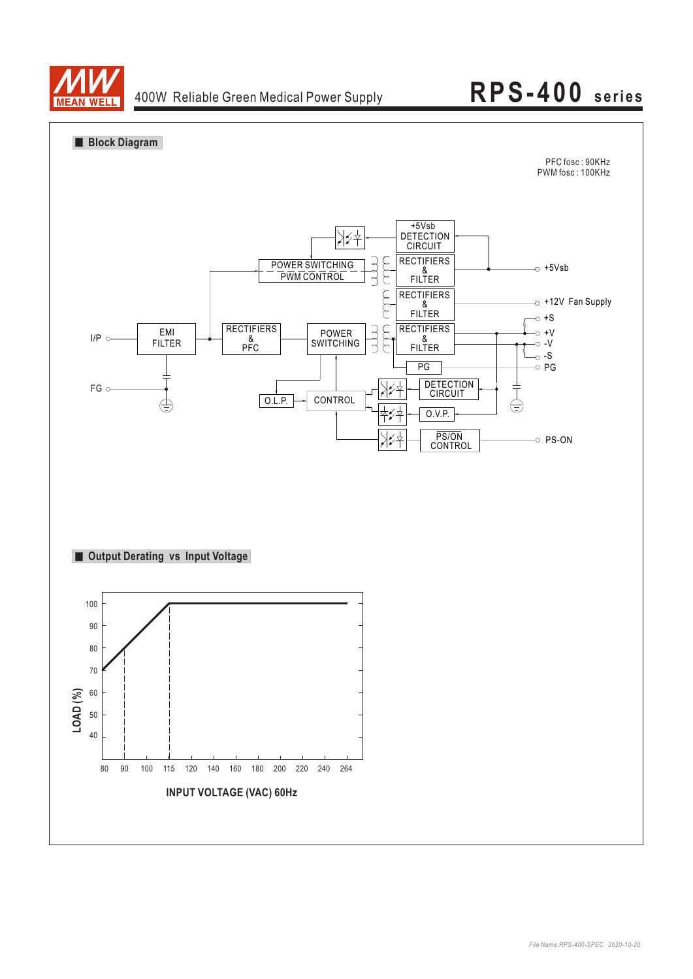

### 400W Reliable Green Medical Power Supply **RPS-400 series**

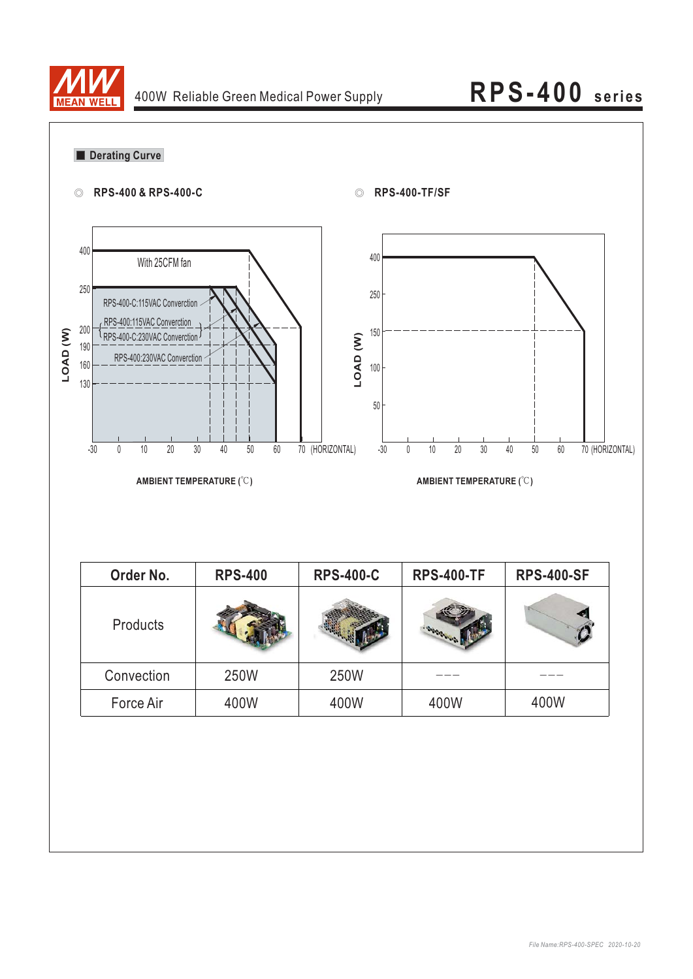

| ⊙          | RPS-400 & RPS-400-C                                                                  |                                                                 | $\circledcirc$           | <b>RPS-400-TF/SF</b>                                   |                        |                 |
|------------|--------------------------------------------------------------------------------------|-----------------------------------------------------------------|--------------------------|--------------------------------------------------------|------------------------|-----------------|
| 400        | With 25CFM fan                                                                       |                                                                 | 400                      |                                                        |                        |                 |
| 250        | RPS-400-C:115VAC Converction                                                         |                                                                 | 250                      |                                                        |                        |                 |
| 200        | RPS-400:115VAC Converction<br><sup>1</sup> RPS-400-C:230VAC Converction <sup>∫</sup> |                                                                 | 150                      |                                                        |                        |                 |
| 190<br>160 | RPS-400:230VAC Converction                                                           |                                                                 | LOAD (W)<br>100          |                                                        |                        |                 |
| 130        |                                                                                      |                                                                 | $50\,$                   |                                                        |                        |                 |
|            |                                                                                      |                                                                 |                          |                                                        |                        |                 |
|            | 0                                                                                    |                                                                 |                          | 0                                                      |                        |                 |
|            | $20\,$<br>10<br>$-30$                                                                | $30\,$<br>40<br>50<br>$60\,$<br><b>AMBIENT TEMPERATURE (°C)</b> | 70 (HORIZONTAL)<br>$-30$ | $10\,$<br>$20\,$<br>$30\,$<br>AMBIENT TEMPERATURE (°C) | 40<br>$50\,$<br>$60\,$ |                 |
|            |                                                                                      |                                                                 |                          |                                                        |                        | 70 (HORIZONTAL) |
|            | Order No.                                                                            | <b>RPS-400</b>                                                  | <b>RPS-400-C</b>         | <b>RPS-400-TF</b>                                      | <b>RPS-400-SF</b>      |                 |
|            | Products                                                                             | <b>THE LIBRARY</b>                                              | <b>THE REAL PROPERTY</b> | <b>SALES</b>                                           |                        |                 |
|            | Convection                                                                           | 250W                                                            | 250W                     |                                                        |                        |                 |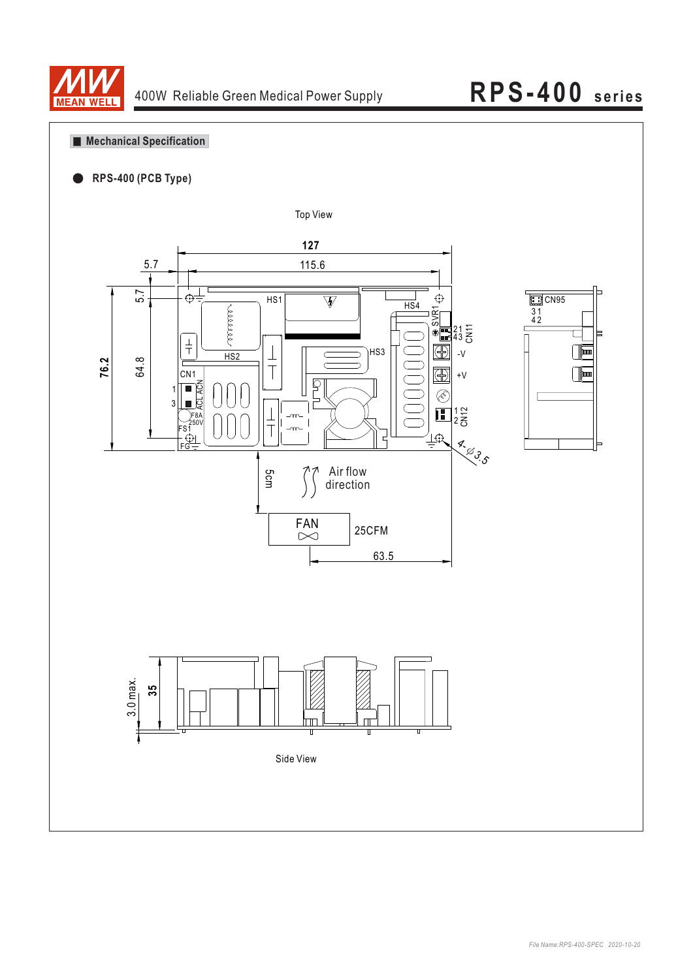

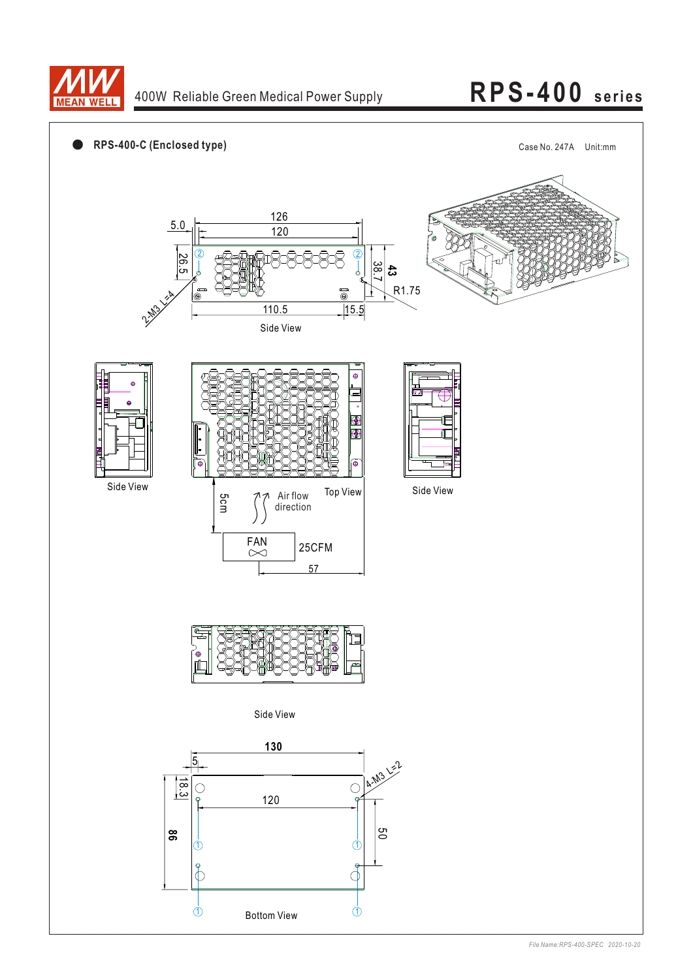

### 400W Reliable Green Medical Power Supply

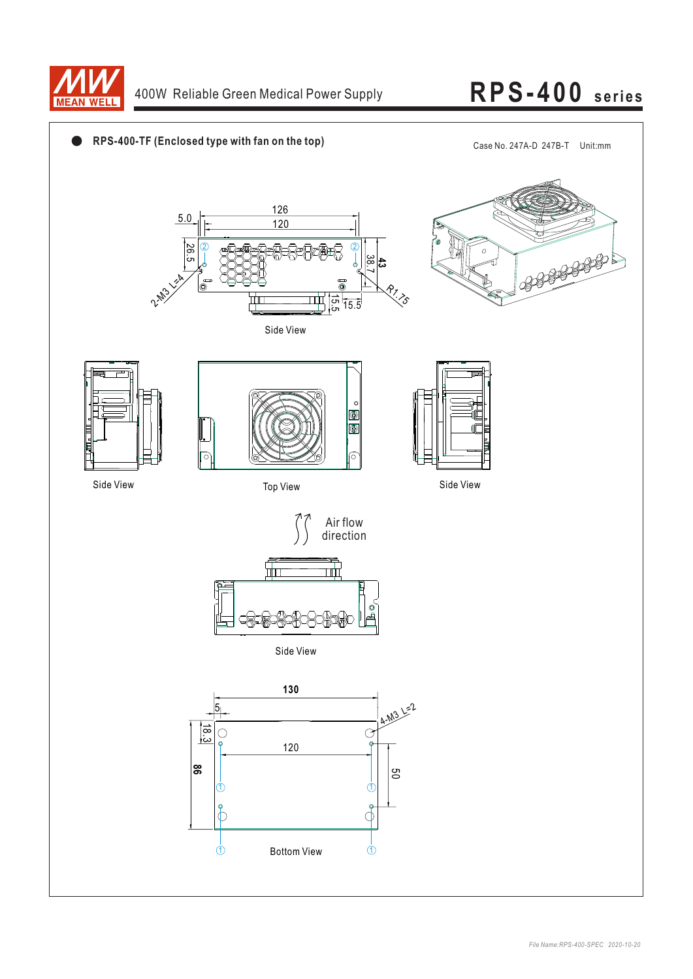

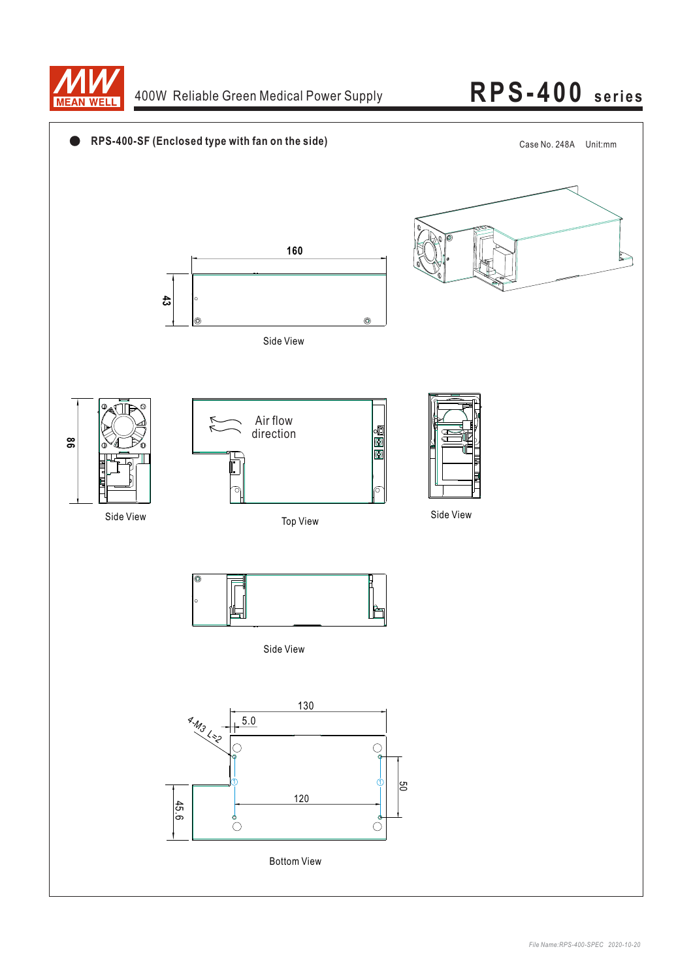